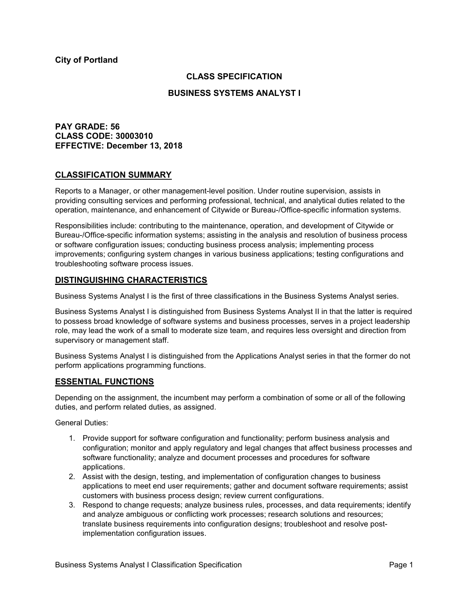### **CLASS SPECIFICATION**

#### **BUSINESS SYSTEMS ANALYST I**

### **PAY GRADE: 56 CLASS CODE: 30003010 EFFECTIVE: December 13, 2018**

### **CLASSIFICATION SUMMARY**

Reports to a Manager, or other management-level position. Under routine supervision, assists in providing consulting services and performing professional, technical, and analytical duties related to the operation, maintenance, and enhancement of Citywide or Bureau-/Office-specific information systems.

Responsibilities include: contributing to the maintenance, operation, and development of Citywide or Bureau-/Office-specific information systems; assisting in the analysis and resolution of business process or software configuration issues; conducting business process analysis; implementing process improvements; configuring system changes in various business applications; testing configurations and troubleshooting software process issues.

### **DISTINGUISHING CHARACTERISTICS**

Business Systems Analyst I is the first of three classifications in the Business Systems Analyst series.

Business Systems Analyst I is distinguished from Business Systems Analyst II in that the latter is required to possess broad knowledge of software systems and business processes, serves in a project leadership role, may lead the work of a small to moderate size team, and requires less oversight and direction from supervisory or management staff.

Business Systems Analyst I is distinguished from the Applications Analyst series in that the former do not perform applications programming functions.

### **ESSENTIAL FUNCTIONS**

Depending on the assignment, the incumbent may perform a combination of some or all of the following duties, and perform related duties, as assigned.

General Duties:

- 1. Provide support for software configuration and functionality; perform business analysis and configuration; monitor and apply regulatory and legal changes that affect business processes and software functionality; analyze and document processes and procedures for software applications.
- 2. Assist with the design, testing, and implementation of configuration changes to business applications to meet end user requirements; gather and document software requirements; assist customers with business process design; review current configurations.
- 3. Respond to change requests; analyze business rules, processes, and data requirements; identify and analyze ambiguous or conflicting work processes; research solutions and resources; translate business requirements into configuration designs; troubleshoot and resolve postimplementation configuration issues.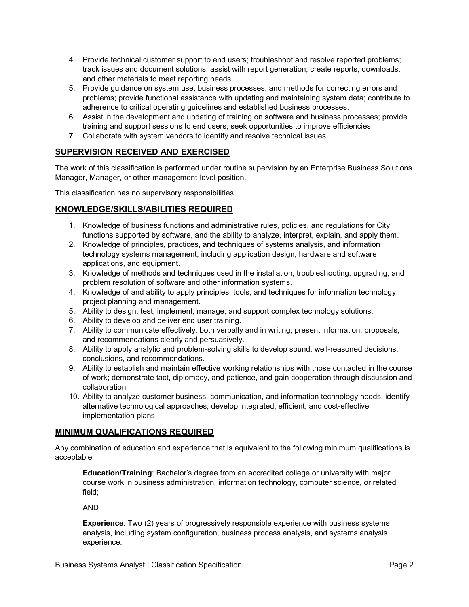- 4. Provide technical customer support to end users; troubleshoot and resolve reported problems; track issues and document solutions; assist with report generation; create reports, downloads, and other materials to meet reporting needs.
- 5. Provide guidance on system use, business processes, and methods for correcting errors and problems; provide functional assistance with updating and maintaining system data; contribute to adherence to critical operating guidelines and established business processes.
- 6. Assist in the development and updating of training on software and business processes; provide training and support sessions to end users; seek opportunities to improve efficiencies.
- 7. Collaborate with system vendors to identify and resolve technical issues.

# **SUPERVISION RECEIVED AND EXERCISED**

The work of this classification is performed under routine supervision by an Enterprise Business Solutions Manager, Manager, or other management-level position.

This classification has no supervisory responsibilities.

## **KNOWLEDGE/SKILLS/ABILITIES REQUIRED**

- 1. Knowledge of business functions and administrative rules, policies, and regulations for City functions supported by software, and the ability to analyze, interpret, explain, and apply them.
- 2. Knowledge of principles, practices, and techniques of systems analysis, and information technology systems management, including application design, hardware and software applications, and equipment.
- 3. Knowledge of methods and techniques used in the installation, troubleshooting, upgrading, and problem resolution of software and other information systems.
- 4. Knowledge of and ability to apply principles, tools, and techniques for information technology project planning and management.
- 5. Ability to design, test, implement, manage, and support complex technology solutions.
- 6. Ability to develop and deliver end user training.
- 7. Ability to communicate effectively, both verbally and in writing; present information, proposals, and recommendations clearly and persuasively.
- 8. Ability to apply analytic and problem-solving skills to develop sound, well-reasoned decisions, conclusions, and recommendations.
- 9. Ability to establish and maintain effective working relationships with those contacted in the course of work; demonstrate tact, diplomacy, and patience, and gain cooperation through discussion and collaboration.
- 10. Ability to analyze customer business, communication, and information technology needs; identify alternative technological approaches; develop integrated, efficient, and cost-effective implementation plans.

## **MINIMUM QUALIFICATIONS REQUIRED**

Any combination of education and experience that is equivalent to the following minimum qualifications is acceptable.

**Education/Training**: Bachelor's degree from an accredited college or university with major course work in business administration, information technology, computer science, or related field;

AND

**Experience**: Two (2) years of progressively responsible experience with business systems analysis, including system configuration, business process analysis, and systems analysis experience.